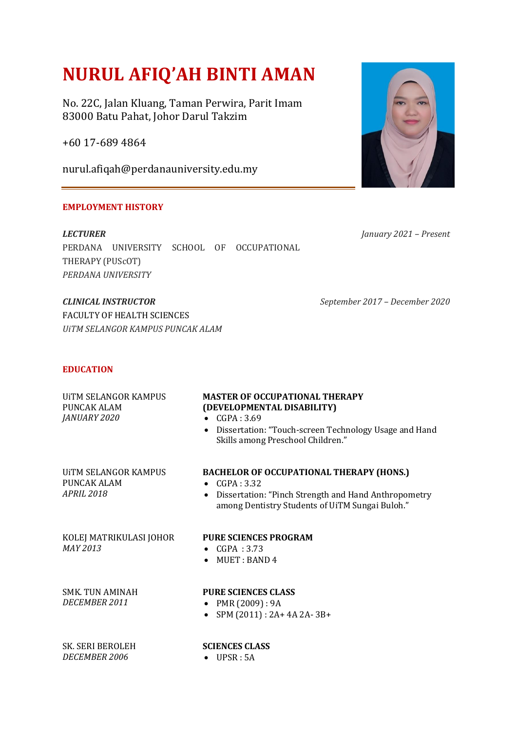# **NURUL AFIQ'AH BINTI AMAN**

No. 22C, Jalan Kluang, Taman Perwira, Parit Imam 83000 Batu Pahat, Johor Darul Takzim

+60 17-689 4864

nurul.afiqah@perdanauniversity.edu.my

# **EMPLOYMENT HISTORY**

*LECTURER*  PERDANA UNIVERSITY SCHOOL OF OCCUPATIONAL THERAPY (PUScOT) *PERDANA UNIVERSITY*

*CLINICAL INSTRUCTOR September 2017 – December 2020* FACULTY OF HEALTH SCIENCES *UiTM SELANGOR KAMPUS PUNCAK ALAM*

## **EDUCATION**

| UITM SELANGOR KAMPUS<br>PUNCAK ALAM<br>JANUARY 2020      | <b>MASTER OF OCCUPATIONAL THERAPY</b><br>(DEVELOPMENTAL DISABILITY)<br>$\bullet$ CGPA: 3.69<br>• Dissertation: "Touch-screen Technology Usage and Hand<br>Skills among Preschool Children." |
|----------------------------------------------------------|---------------------------------------------------------------------------------------------------------------------------------------------------------------------------------------------|
| UITM SELANGOR KAMPUS<br>PUNCAK ALAM<br><b>APRIL 2018</b> | <b>BACHELOR OF OCCUPATIONAL THERAPY (HONS.)</b><br>CGPA: 3.32<br>$\bullet$<br>• Dissertation: "Pinch Strength and Hand Anthropometry<br>among Dentistry Students of UiTM Sungai Buloh."     |
| KOLEJ MATRIKULASI JOHOR<br>MAY 2013                      | <b>PURE SCIENCES PROGRAM</b><br>• $CGPA: 3.73$<br>$\bullet$ MUET : BAND 4                                                                                                                   |
| SMK TUN AMINAH<br>DECEMBER 2011                          | <b>PURE SCIENCES CLASS</b><br>PMR (2009) : 9A<br>$\bullet$<br>SPM (2011): 2A+ 4A 2A-3B+<br>$\bullet$                                                                                        |
| <b>SK. SERI BEROLEH</b><br><b>DECEMBER 2006</b>          | <b>SCIENCES CLASS</b><br>UPSR:5A                                                                                                                                                            |



*January 2021 – Present*